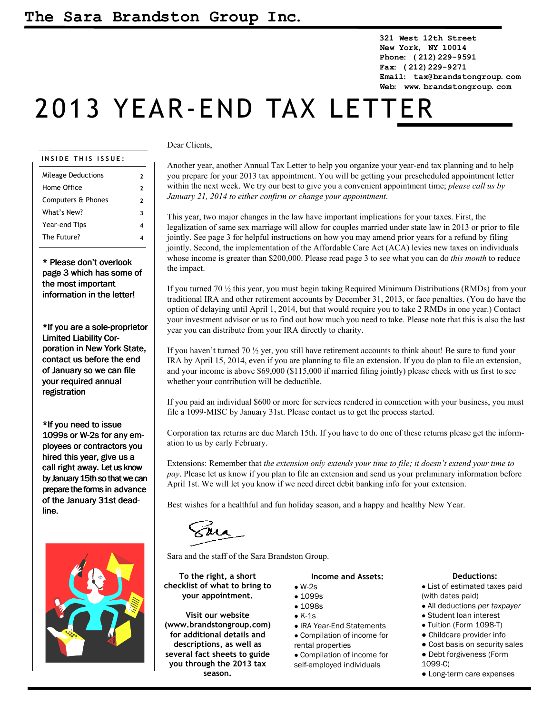**321 West 12th Street New York, NY 10014 Phone: (212)229-9591 Fax: (212)229-9271 Email: tax@brandstongroup.com Web: www.brandstongroup.com**

# 2013 YEAR-END TAX LETTER

## **I N S I D E T H I S I S S U E :**

| <b>Mileage Deductions</b> | 2 |
|---------------------------|---|
| Home Office               | 2 |
| Computers & Phones        | 2 |
| What's New?               | 3 |
| Year-end Tips             | 4 |
| The Future?               |   |
|                           |   |

\* Please don't overlook page 3 which has some of the most important information in the letter!

\*If you are a sole-proprietor Limited Liability Corporation in New York State, contact us before the end of January so we can file your required annual registration

\*If you need to issue 1099s or W-2s for any employees or contractors you hired this year, give us a call right away. Let us know by January 15th so that we can prepare the forms in advance of the January 31st deadline.



# Dear Clients,

Another year, another Annual Tax Letter to help you organize your year-end tax planning and to help you prepare for your 2013 tax appointment. You will be getting your prescheduled appointment letter within the next week. We try our best to give you a convenient appointment time; *please call us by January 21, 2014 to either confirm or change your appointment*.

This year, two major changes in the law have important implications for your taxes. First, the legalization of same sex marriage will allow for couples married under state law in 2013 or prior to file jointly. See page 3 for helpful instructions on how you may amend prior years for a refund by filing jointly. Second, the implementation of the Affordable Care Act (ACA) levies new taxes on individuals whose income is greater than \$200,000. Please read page 3 to see what you can do *this month* to reduce the impact.

If you turned 70 ½ this year, you must begin taking Required Minimum Distributions (RMDs) from your traditional IRA and other retirement accounts by December 31, 2013, or face penalties. (You do have the option of delaying until April 1, 2014, but that would require you to take 2 RMDs in one year.) Contact your investment advisor or us to find out how much you need to take. Please note that this is also the last year you can distribute from your IRA directly to charity.

If you haven't turned 70 ½ yet, you still have retirement accounts to think about! Be sure to fund your IRA by April 15, 2014, even if you are planning to file an extension. If you do plan to file an extension, and your income is above \$69,000 (\$115,000 if married filing jointly) please check with us first to see whether your contribution will be deductible.

If you paid an individual \$600 or more for services rendered in connection with your business, you must file a 1099-MISC by January 31st. Please contact us to get the process started.

Corporation tax returns are due March 15th. If you have to do one of these returns please get the information to us by early February.

Extensions: Remember that *the extension only extends your time to file; it doesn't extend your time to pay*. Please let us know if you plan to file an extension and send us your preliminary information before April 1st. We will let you know if we need direct debit banking info for your extension.

Best wishes for a healthful and fun holiday season, and a happy and healthy New Year.

Sara and the staff of the Sara Brandston Group.

**To the right, a short checklist of what to bring to your appointment.**

**Visit our website (www.brandstongroup.com) for additional details and descriptions, as well as several fact sheets to guide you through the 2013 tax season.**

#### **Income and Assets:**

- $\bullet$  W-2s • 1099s
- 1098s
- $\bullet$  K-1s
- IRA Year-End Statements ● Compilation of income for
- rental properties ● Compilation of income for

self-employed individuals

## **Deductions:**

● List of estimated taxes paid (with dates paid)

- All deductions *per taxpayer*
- Student loan interest
- Tuition (Form 1098-T)
- Childcare provider info
- Cost basis on security sales
- Debt forgiveness (Form 1099-C)
- Long-term care expenses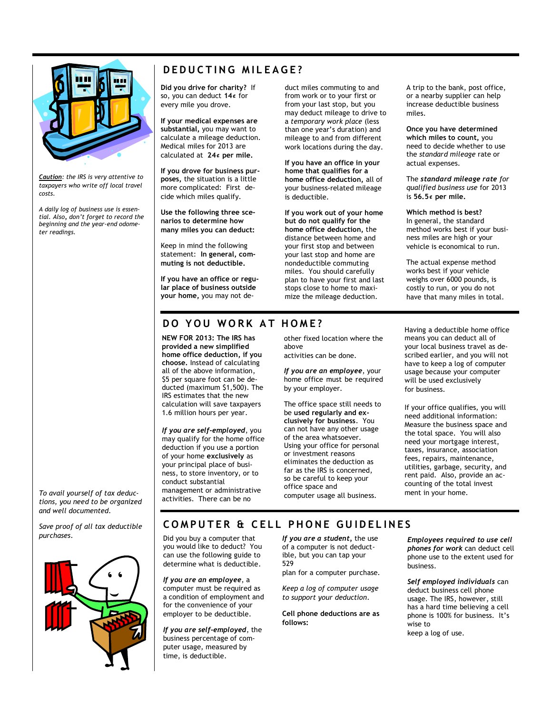

*Caution: the IRS is very attentive to taxpayers who write off local travel costs.* 

*A daily log of business use is essential. Also, don't forget to record the beginning and the year-end odometer readings.*

# $D$  **EDUCTING** MILEAGE?

**Did you drive for charity?** If so, you can deduct **14¢** for every mile you drove.

**If your medical expenses are substantial,** you may want to calculate a mileage deduction. Medical miles for 2013 are calculated at **24¢ per mile.**

**If you drove for business purposes,** the situation is a little more complicated: First decide which miles qualify.

**Use the following three scenarios to determine how many miles you can deduct:** 

Keep in mind the following statement: **In general, commuting is not deductible.** 

**If you have an office or regular place of business outside your home,** you may not deduct miles commuting to and from work or to your first or from your last stop, but you may deduct mileage to drive to a *temporary work place* (less than one year's duration) and mileage to and from different work locations during the day.

**If you have an office in your home that qualifies for a home office deduction,** all of your business-related mileage is deductible.

**If you work out of your home but do not qualify for the home office deduction,** the distance between home and your first stop and between your last stop and home are nondeductible commuting miles. You should carefully plan to have your first and last stops close to home to maximize the mileage deduction.

A trip to the bank, post office, or a nearby supplier can help increase deductible business miles.

**Once you have determined which miles to count,** you need to decide whether to use the *standard mileage* rate or actual expenses.

The *standard mileage rate for qualified business use* for 2013 is **56.5¢ per mile.**

**Which method is best?**  In general, the standard method works best if your business miles are high or your vehicle is economical to run.

The actual expense method works best if your vehicle weighs over 6000 pounds, is costly to run, or you do not have that many miles in total.

# **D O Y O U W O R K A T H O M E ?**

**NEW FOR 2013: The IRS has provided a new simplified home office deduction, if you choose.** Instead of calculating all of the above information, \$5 per square foot can be deducted (maximum \$1,500). The IRS estimates that the new calculation will save taxpayers 1.6 million hours per year.

*If you are self-employed*, you may qualify for the home office deduction if you use a portion of your home **exclusively** as your principal place of business, to store inventory, or to conduct substantial management or administrative activities. There can be no

other fixed location where the above activities can be done.

*If you are an employee*, your home office must be required by your employer.

The office space still needs to be **used regularly and exclusively for business**. You can not have any other usage of the area whatsoever. Using your office for personal or investment reasons eliminates the deduction as far as the IRS is concerned, so be careful to keep your office space and computer usage all business.

Having a deductible home office means you can deduct all of your local business travel as described earlier, and you will not have to keep a log of computer usage because your computer will be used exclusively for business.

If your office qualifies, you will need additional information: Measure the business space and the total space. You will also need your mortgage interest, taxes, insurance, association fees, repairs, maintenance, utilities, garbage, security, and rent paid. Also, provide an accounting of the total invest ment in your home.

*To avail yourself of tax deductions, you need to be organized and well documented.* 

*Save proof of all tax deductible purchases.* 



# **COMPUTER & CELL PHONE GUIDELINES**

Did you buy a computer that you would like to deduct? You can use the following guide to determine what is deductible.

*If you are an employee*, a computer must be required as a condition of employment and for the convenience of your employer to be deductible.

*If you are self-employed*, the business percentage of computer usage, measured by time, is deductible.

*If you are a student,* the use of a computer is not deductible, but you can tap your 529

plan for a computer purchase.

*Keep a log of computer usage to support your deduction.* 

**Cell phone deductions are as follows:** 

*Employees required to use cell phones for work* can deduct cell phone use to the extent used for business.

*Self employed individuals* can deduct business cell phone usage. The IRS, however, still has a hard time believing a cell phone is 100% for business. It's wise to keep a log of use.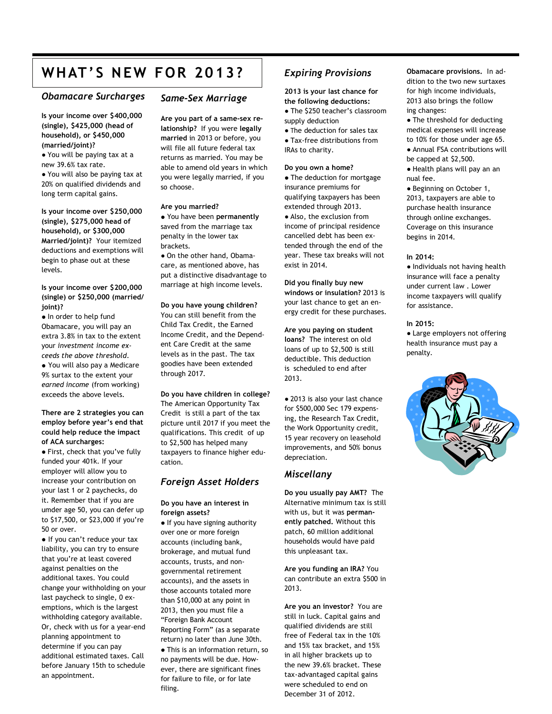# WHAT'S NEW FOR 2013? Expiring Provisions Obamacare provisions. In ad-

## *Obamacare Surcharges*

**Is your income over \$400,000 (single), \$425,000 (head of household), or \$450,000 (married/joint)?**

● You will be paying tax at a new 39.6% tax rate.

● You will also be paying tax at 20% on qualified dividends and long term capital gains.

**Is your income over \$250,000 (single), \$275,000 head of household), or \$300,000 Married/joint)?** Your itemized deductions and exemptions will begin to phase out at these levels.

## **Is your income over \$200,000 (single) or \$250,000 (married/ joint)?**

● In order to help fund Obamacare, you will pay an extra 3.8% in tax to the extent your *investment income exceeds the above threshold. ●* You will also pay a Medicare 9% surtax to the extent your *earned income* (from working) exceeds the above levels.

## **There are 2 strategies you can employ before year's end that could help reduce the impact of ACA surcharges:**

● First, check that you've fully funded your 401k. If your employer will allow you to increase your contribution on your last 1 or 2 paychecks, do it. Remember that if you are umder age 50, you can defer up to \$17,500, or \$23,000 if you're 50 or over.

*●* If you can't reduce your tax liability, you can try to ensure that you're at least covered against penalties on the additional taxes. You could change your withholding on your last paycheck to single, 0 exemptions, which is the largest withholding category available. Or, check with us for a year-end planning appointment to determine if you can pay additional estimated taxes. Call before January 15th to schedule an appointment.

# *Same-Sex Marriage*

**Are you part of a same-sex relationship?** If you were **legally married** in 2013 or before, you will file all future federal tax returns as married. You may be able to amend old years in which you were legally married, if you so choose.

#### **Are you married?**

● You have been **permanently** saved from the marriage tax penalty in the lower tax brackets.

● On the other hand, Obamacare, as mentioned above, has put a distinctive disadvantage to marriage at high income levels.

## **Do you have young children?**

You can still benefit from the Child Tax Credit, the Earned Income Credit, and the Dependent Care Credit at the same levels as in the past. The tax goodies have been extended through 2017.

## **Do you have children in college?** The American Opportunity Tax Credit is still a part of the tax picture until 2017 if you meet the qualifications. This credit of up to \$2,500 has helped many taxpayers to finance higher education.

# *Foreign Asset Holders*

## **Do you have an interest in foreign assets?**

● If you have signing authority over one or more foreign accounts (including bank, brokerage, and mutual fund accounts, trusts, and nongovernmental retirement accounts), and the assets in those accounts totaled more than \$10,000 at any point in 2013, then you must file a "Foreign Bank Account Reporting Form" (as a separate return) no later than June 30th.

● This is an information return, so no payments will be due. However, there are significant fines for failure to file, or for late filing.

# *Expiring Provisions*

**2013 is your last chance for the following deductions:** 

- The \$250 teacher's classroom supply deduction
- The deduction for sales tax ● Tax-free distributions from IRAs to charity.

#### **Do you own a home?**

● The deduction for mortgage insurance premiums for qualifying taxpayers has been extended through 2013. ● Also, the exclusion from income of principal residence cancelled debt has been ex-

tended through the end of the year. These tax breaks will not exist in 2014.

**Did you finally buy new windows or insulation?** 2013 is your last chance to get an energy credit for these purchases.

## **Are you paying on student**

**loans?** The interest on old loans of up to \$2,500 is still deductible. This deduction is scheduled to end after 2013.

● 2013 is also your last chance for \$500,000 Sec 179 expensing, the Research Tax Credit, the Work Opportunity credit, 15 year recovery on leasehold improvements, and 50% bonus depreciation.

# *Miscellany*

**Do you usually pay AMT?** The Alternative minimum tax is still with us, but it was **permanently patched.** Without this patch, 60 million additional households would have paid this unpleasant tax.

**Are you funding an IRA?** You can contribute an extra \$500 in 2013.

**Are you an investor?** You are still in luck. Capital gains and qualified dividends are still free of Federal tax in the 10% and 15% tax bracket, and 15% in all higher brackets up to the new 39.6% bracket. These tax-advantaged capital gains were scheduled to end on December 31 of 2012.

dition to the two new surtaxes for high income individuals, 2013 also brings the follow ing changes:

• The threshold for deducting medical expenses will increase to 10% for those under age 65. ● Annual FSA contributions will be capped at \$2,500.

● Health plans will pay an an nual fee.

● Beginning on October 1, 2013, taxpayers are able to purchase health insurance through online exchanges. Coverage on this insurance begins in 2014.

## **In 2014:**

● Individuals not having health insurance will face a penalty under current law . Lower income taxpayers will qualify for assistance.

#### **In 2015:**

● Large employers not offering health insurance must pay a penalty.